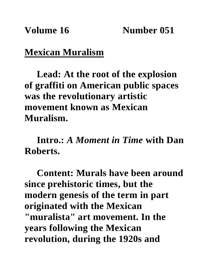## **Mexican Muralism**

**Lead: At the root of the explosion of graffiti on American public spaces was the revolutionary artistic movement known as Mexican Muralism.**

**Intro.:** *A Moment in Time* **with Dan Roberts.**

**Content: Murals have been around since prehistoric times, but the modern genesis of the term in part originated with the Mexican "muralista" art movement. In the years following the Mexican revolution, during the 1920s and**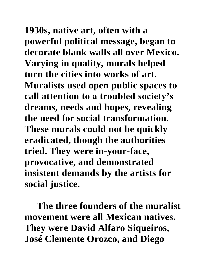**1930s, native art, often with a powerful political message, began to decorate blank walls all over Mexico. Varying in quality, murals helped turn the cities into works of art. Muralists used open public spaces to call attention to a troubled society's dreams, needs and hopes, revealing the need for social transformation. These murals could not be quickly eradicated, though the authorities tried. They were in-your-face, provocative, and demonstrated insistent demands by the artists for social justice.**

**The three founders of the muralist movement were all Mexican natives. They were David Alfaro Siqueiros, José Clemente Orozco, and Diego**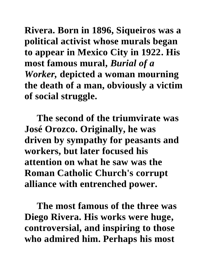**Rivera. Born in 1896, Siqueiros was a political activist whose murals began to appear in Mexico City in 1922. His most famous mural,** *Burial of a Worker,* **depicted a woman mourning the death of a man, obviously a victim of social struggle.**

**The second of the triumvirate was José Orozco. Originally, he was driven by sympathy for peasants and workers, but later focused his attention on what he saw was the Roman Catholic Church's corrupt alliance with entrenched power.**

**The most famous of the three was Diego Rivera. His works were huge, controversial, and inspiring to those who admired him. Perhaps his most**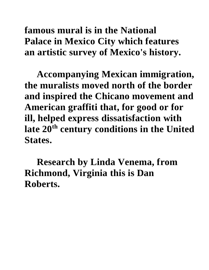**famous mural is in the National Palace in Mexico City which features an artistic survey of Mexico's history.**

**Accompanying Mexican immigration, the muralists moved north of the border and inspired the Chicano movement and American graffiti that, for good or for ill, helped express dissatisfaction with late 20th century conditions in the United States.**

**Research by Linda Venema, from Richmond, Virginia this is Dan Roberts.**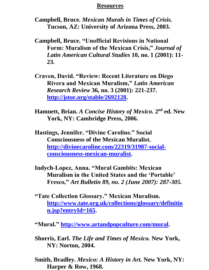## **Resources**

**Campbell, Bruce.** *Mexican Murals in Times of Crisis.* **Tucson, AZ: University of Arizona Press, 2003.** 

- **Campbell, Bruce. "Unofficial Revisions in National Form: Muralism of the Mexican Crisis,"** *Journal of Latin American Cultural Studies* **10, no. 1 (2001): 11- 23.**
- **Craven, David. "Review: Recent Literature on Diego Rivera and Mexican Muralism,"** *Latin American Research Review* **36, no. 3 (2001): 221-237. [http://jstor.org/stable/2692128.](http://jstor.org/stable/2692128)**
- **Hamnett, Brian.** *A Concise History of Mexico*. 2<sup>nd</sup> ed. New **York, NY: Cambridge Press, 2006.**
- **Hastings, Jennifer. "Divine Caroline." Social Consciousness of the Mexican Muralist. [http://divinecaroline.com/22319/31987-social](http://divinecaroline.com/22319/31987-social-consciousness-mexican-muralist)[consciousness-mexican-muralist.](http://divinecaroline.com/22319/31987-social-consciousness-mexican-muralist)**
- **Indych-Lopez, Anna. "Mural Gambits: Mexican Muralism in the United States and the 'Portable' Fresco,"** *Art Bulletin 89, no. 2 (June 2007): 287-305.*
- **"Tate Collection Glossary." Mexican Muralism. [http://www.tate.org.uk/collections/glossary/definitio](http://www.tate.org.uk/collections/glossary/definition.jsp?entryId=165) [n.jsp?entryId=165.](http://www.tate.org.uk/collections/glossary/definition.jsp?entryId=165)**
- **"Mural." [http://www.artandpopculture.com/mural.](http://www.artandpopculture.com/mural)**
- **Shorris, Earl.** *The Life and Times of Mexico.* **New York, NY: Norton, 2004.**
- **Smith, Bradley.** *Mexico: A History in Art.* **New York, NY: Harper & Row, 1968.**